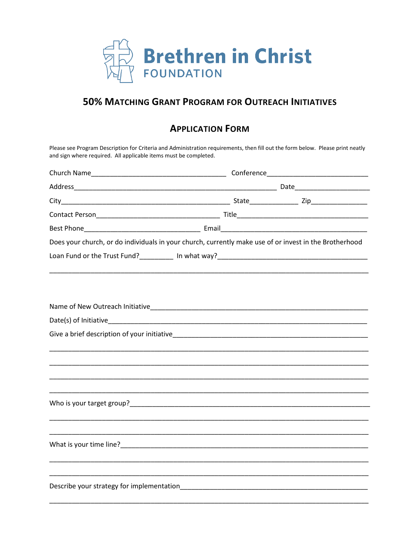

## **50% MATCHING GRANT PROGRAM FOR OUTREACH INITIATIVES**

## **APPLICATION FORM**

Please see Program Description for Criteria and Administration requirements, then fill out the form below. Please print neatly and sign where required. All applicable items must be completed.

| Does your church, or do individuals in your church, currently make use of or invest in the Brotherhood |  |  |
|--------------------------------------------------------------------------------------------------------|--|--|
|                                                                                                        |  |  |
|                                                                                                        |  |  |
|                                                                                                        |  |  |
|                                                                                                        |  |  |
|                                                                                                        |  |  |
|                                                                                                        |  |  |
|                                                                                                        |  |  |
| ,我们也不能在这里的时候,我们也不能在这里的时候,我们也不能会在这里,我们也不能会在这里的时候,我们也不能会在这里的时候,我们也不能会在这里的时候,我们也不能会                       |  |  |
|                                                                                                        |  |  |
|                                                                                                        |  |  |
|                                                                                                        |  |  |
|                                                                                                        |  |  |
|                                                                                                        |  |  |
|                                                                                                        |  |  |
|                                                                                                        |  |  |
|                                                                                                        |  |  |